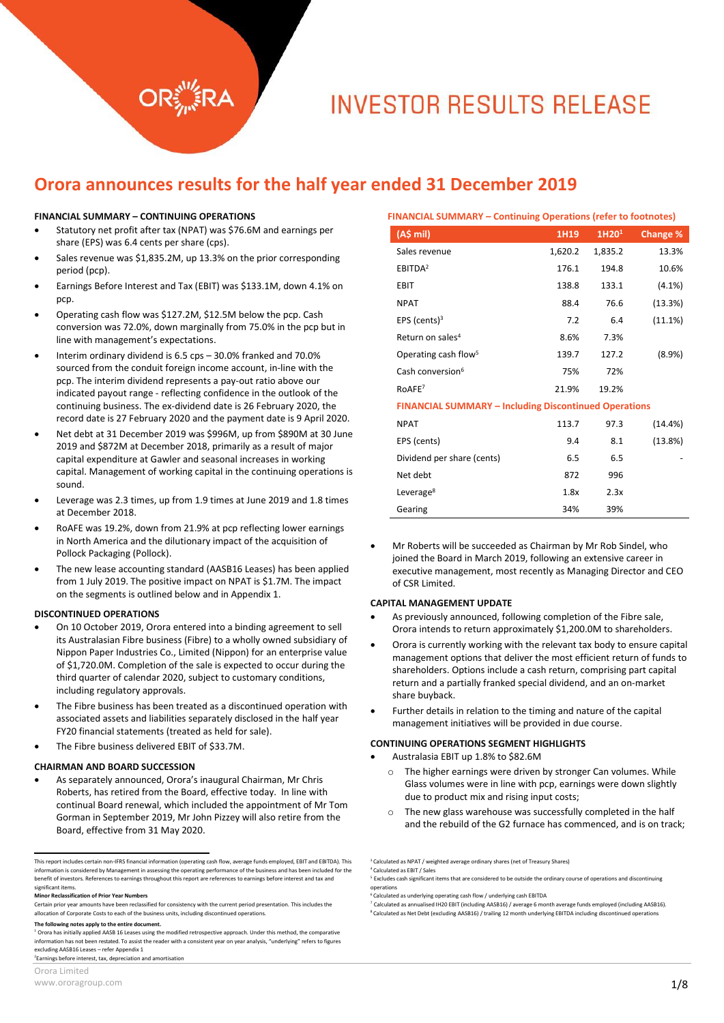# **INVESTOR RESULTS RELEASE**

### **Orora announces results for the half year ended 31 December 2019**

#### **FINANCIAL SUMMARY – CONTINUING OPERATIONS**

- Statutory net profit after tax (NPAT) was \$76.6M and earnings per share (EPS) was 6.4 cents per share (cps).
- Sales revenue was \$1,835.2M, up 13.3% on the prior corresponding period (pcp).
- Earnings Before Interest and Tax (EBIT) was \$133.1M, down 4.1% on pcp.
- Operating cash flow was \$127.2M, \$12.5M below the pcp. Cash conversion was 72.0%, down marginally from 75.0% in the pcp but in line with management's expectations.
- Interim ordinary dividend is 6.5 cps 30.0% franked and 70.0% sourced from the conduit foreign income account, in-line with the pcp. The interim dividend represents a pay-out ratio above our indicated payout range - reflecting confidence in the outlook of the continuing business. The ex-dividend date is 26 February 2020, the record date is 27 February 2020 and the payment date is 9 April 2020.
- Net debt at 31 December 2019 was \$996M, up from \$890M at 30 June 2019 and \$872M at December 2018, primarily as a result of major capital expenditure at Gawler and seasonal increases in working capital. Management of working capital in the continuing operations is sound.
- Leverage was 2.3 times, up from 1.9 times at June 2019 and 1.8 times at December 2018.
- RoAFE was 19.2%, down from 21.9% at pcp reflecting lower earnings in North America and the dilutionary impact of the acquisition of Pollock Packaging (Pollock).
- The new lease accounting standard (AASB16 Leases) has been applied from 1 July 2019. The positive impact on NPAT is \$1.7M. The impact on the segments is outlined below and in Appendix 1.

#### **DISCONTINUED OPERATIONS**

- On 10 October 2019, Orora entered into a binding agreement to sell its Australasian Fibre business (Fibre) to a wholly owned subsidiary of Nippon Paper Industries Co., Limited (Nippon) for an enterprise value of \$1,720.0M. Completion of the sale is expected to occur during the third quarter of calendar 2020, subject to customary conditions, including regulatory approvals.
- The Fibre business has been treated as a discontinued operation with associated assets and liabilities separately disclosed in the half year FY20 financial statements (treated as held for sale).
- The Fibre business delivered EBIT of \$33.7M.

#### **CHAIRMAN AND BOARD SUCCESSION**

 As separately announced, Orora's inaugural Chairman, Mr Chris Roberts, has retired from the Board, effective today. In line with continual Board renewal, which included the appointment of Mr Tom Gorman in September 2019, Mr John Pizzey will also retire from the Board, effective from 31 May 2020.

#### **The following notes apply to the entire document.**

 $1$  Orora has initially applied AASB 16 Leases using the modified retrospective approach. Under this method, the comparative information has not been restated. To assist the reader with a consistent year on year analysis, "underlying" refers to figures excluding AASB16 Leases – refer Appendix 1

2 Earnings before interest, tax, depreciation and amortisation

 $\overline{a}$ 

| <b>FINANCIAL SUMMARY – Continuing Operations (refer to footnotes)</b> |         |                   |           |  |
|-----------------------------------------------------------------------|---------|-------------------|-----------|--|
| (A\$ mil)                                                             | 1H19    | 1H20 <sup>1</sup> | Change %  |  |
| Sales revenue                                                         | 1,620.2 | 1,835.2           | 13.3%     |  |
| EBITDA <sup>2</sup>                                                   | 176.1   | 194.8             | 10.6%     |  |
| <b>EBIT</b>                                                           | 138.8   | 133.1             | $(4.1\%)$ |  |
| <b>NPAT</b>                                                           | 88.4    | 76.6              | (13.3%)   |  |
| EPS (cents) $3$                                                       | 7.2     | 6.4               | (11.1%)   |  |
| Return on sales <sup>4</sup>                                          | 8.6%    | 7.3%              |           |  |
| Operating cash flow <sup>5</sup>                                      | 139.7   | 127.2             | (8.9%)    |  |
| Cash conversion <sup>6</sup>                                          | 75%     | 72%               |           |  |
| RoAFE7                                                                | 21.9%   | 19.2%             |           |  |
| <b>FINANCIAL SUMMARY - Including Discontinued Operations</b>          |         |                   |           |  |
| <b>NPAT</b>                                                           | 113.7   | 97.3              | (14.4%)   |  |
| EPS (cents)                                                           | 9.4     | 8.1               | (13.8%)   |  |
| Dividend per share (cents)                                            | 6.5     | 6.5               |           |  |
| Net debt                                                              | 872     | 996               |           |  |
| Leverage <sup>8</sup>                                                 | 1.8x    | 2.3x              |           |  |
| Gearing                                                               | 34%     | 39%               |           |  |

 Mr Roberts will be succeeded as Chairman by Mr Rob Sindel, who joined the Board in March 2019, following an extensive career in executive management, most recently as Managing Director and CEO of CSR Limited.

#### **CAPITAL MANAGEMENT UPDATE**

- As previously announced, following completion of the Fibre sale, Orora intends to return approximately \$1,200.0M to shareholders.
- Orora is currently working with the relevant tax body to ensure capital management options that deliver the most efficient return of funds to shareholders. Options include a cash return, comprising part capital return and a partially franked special dividend, and an on-market share buyback.
- Further details in relation to the timing and nature of the capital management initiatives will be provided in due course.

#### **CONTINUING OPERATIONS SEGMENT HIGHLIGHTS**

- Australasia EBIT up 1.8% to \$82.6M
	- o The higher earnings were driven by stronger Can volumes. While Glass volumes were in line with pcp, earnings were down slightly due to product mix and rising input costs;
	- o The new glass warehouse was successfully completed in the half and the rebuild of the G2 furnace has commenced, and is on track;

This report includes certain non-IFRS financial information (operating cash flow, average funds employed, EBIT and EBITDA). This information is considered by Management in assessing the operating performance of the business and has been included for the benefit of investors. References to earnings throughout this report are references to earnings before interest and tax and significant items.

**Minor Reclassification of Prior Year Numbers**

Certain prior year amounts have been reclassified for consistency with the current period presentation. This includes the allocation of Corporate Costs to each of the business units, including discontinued operations.

<sup>&</sup>lt;sup>3</sup> Calculated as NPAT / weighted average ordinary shares (net of Treasury Shares)

<sup>4</sup> Calculated as EBIT / Sales <sup>5</sup> Excludes cash significant items that are considered to be outside the ordinary course of operations and discontinuing operations

<sup>&</sup>lt;sup>6</sup> Calculated as underlying operating cash flow / underlying cash EBITDA<br><sup>7</sup> Calculated as annualised 1920 EBIT (including AASB16) / average 6 mo

Calculated as annualised IH20 EBIT (including AASB16) / average 6 month average funds employed (including AASB16). 8 Calculated as Net Debt (excluding AASB16) / trailing 12 month underlying EBITDA including discontinued operations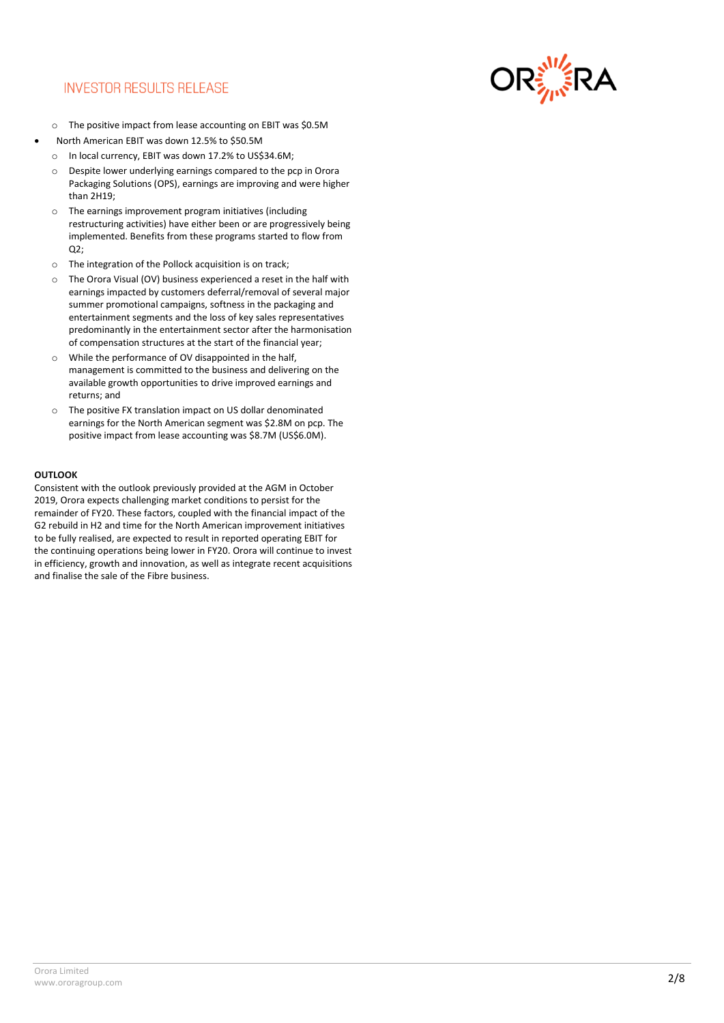### **INVESTOR RESULTS RELEASE**



- o The positive impact from lease accounting on EBIT was \$0.5M North American EBIT was down 12.5% to \$50.5M
- o In local currency, EBIT was down 17.2% to US\$34.6M;
- o Despite lower underlying earnings compared to the pcp in Orora Packaging Solutions (OPS), earnings are improving and were higher than 2H19;
- o The earnings improvement program initiatives (including restructuring activities) have either been or are progressively being implemented. Benefits from these programs started to flow from  $Q2$ :
- o The integration of the Pollock acquisition is on track;
- o The Orora Visual (OV) business experienced a reset in the half with earnings impacted by customers deferral/removal of several major summer promotional campaigns, softness in the packaging and entertainment segments and the loss of key sales representatives predominantly in the entertainment sector after the harmonisation of compensation structures at the start of the financial year;
- o While the performance of OV disappointed in the half, management is committed to the business and delivering on the available growth opportunities to drive improved earnings and returns; and
- o The positive FX translation impact on US dollar denominated earnings for the North American segment was \$2.8M on pcp. The positive impact from lease accounting was \$8.7M (US\$6.0M).

#### **OUTLOOK**

Consistent with the outlook previously provided at the AGM in October 2019, Orora expects challenging market conditions to persist for the remainder of FY20. These factors, coupled with the financial impact of the G2 rebuild in H2 and time for the North American improvement initiatives to be fully realised, are expected to result in reported operating EBIT for the continuing operations being lower in FY20. Orora will continue to invest in efficiency, growth and innovation, as well as integrate recent acquisitions and finalise the sale of the Fibre business.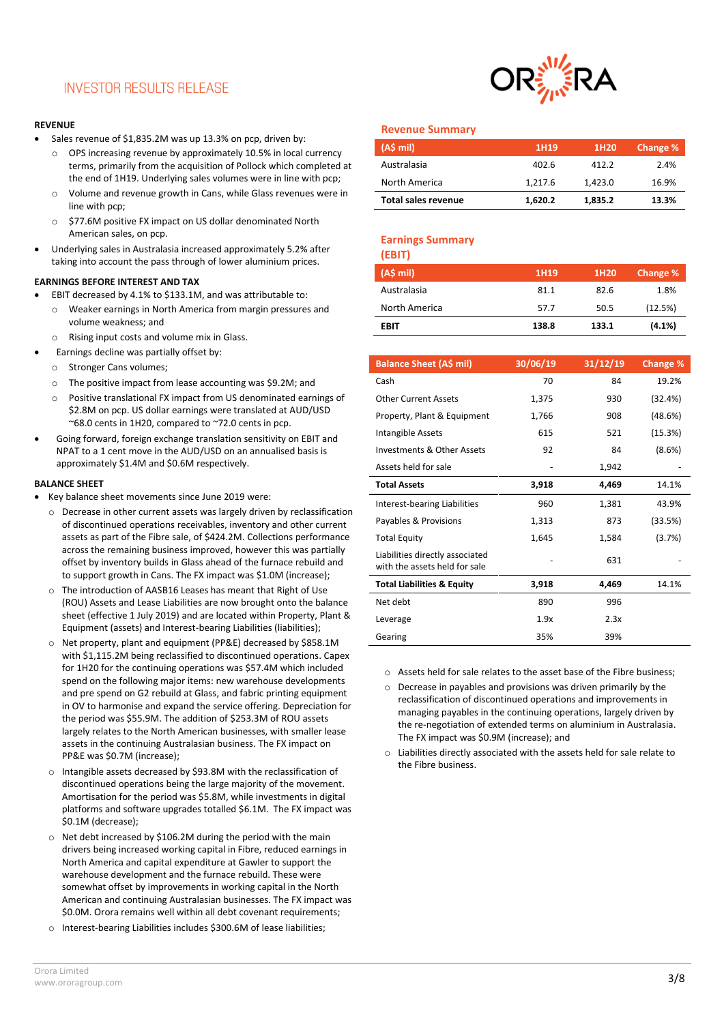### **INVESTOR RESULTS RELEASE**

#### **REVENUE**

- Sales revenue of \$1,835.2M was up 13.3% on pcp, driven by:
	- o OPS increasing revenue by approximately 10.5% in local currency terms, primarily from the acquisition of Pollock which completed at the end of 1H19. Underlying sales volumes were in line with pcp;
	- o Volume and revenue growth in Cans, while Glass revenues were in line with pcp;
	- o \$77.6M positive FX impact on US dollar denominated North American sales, on pcp.
- Underlying sales in Australasia increased approximately 5.2% after taking into account the pass through of lower aluminium prices.

#### **EARNINGS BEFORE INTEREST AND TAX**

- EBIT decreased by 4.1% to \$133.1M, and was attributable to:
- o Weaker earnings in North America from margin pressures and volume weakness; and
- o Rising input costs and volume mix in Glass.
- Earnings decline was partially offset by:
	- o Stronger Cans volumes;
	- o The positive impact from lease accounting was \$9.2M; and
	- o Positive translational FX impact from US denominated earnings of \$2.8M on pcp. US dollar earnings were translated at AUD/USD  $-68.0$  cents in 1H20, compared to  $-72.0$  cents in pcp.
- Going forward, foreign exchange translation sensitivity on EBIT and NPAT to a 1 cent move in the AUD/USD on an annualised basis is approximately \$1.4M and \$0.6M respectively.

#### **BALANCE SHEET**

- Key balance sheet movements since June 2019 were:
	- o Decrease in other current assets was largely driven by reclassification of discontinued operations receivables, inventory and other current assets as part of the Fibre sale, of \$424.2M. Collections performance across the remaining business improved, however this was partially offset by inventory builds in Glass ahead of the furnace rebuild and to support growth in Cans. The FX impact was \$1.0M (increase);
	- o The introduction of AASB16 Leases has meant that Right of Use (ROU) Assets and Lease Liabilities are now brought onto the balance sheet (effective 1 July 2019) and are located within Property, Plant & Equipment (assets) and Interest-bearing Liabilities (liabilities);
	- o Net property, plant and equipment (PP&E) decreased by \$858.1M with \$1,115.2M being reclassified to discontinued operations. Capex for 1H20 for the continuing operations was \$57.4M which included spend on the following major items: new warehouse developments and pre spend on G2 rebuild at Glass, and fabric printing equipment in OV to harmonise and expand the service offering. Depreciation for the period was \$55.9M. The addition of \$253.3M of ROU assets largely relates to the North American businesses, with smaller lease assets in the continuing Australasian business. The FX impact on PP&E was \$0.7M (increase);
	- o Intangible assets decreased by \$93.8M with the reclassification of discontinued operations being the large majority of the movement. Amortisation for the period was \$5.8M, while investments in digital platforms and software upgrades totalled \$6.1M. The FX impact was \$0.1M (decrease);
	- o Net debt increased by \$106.2M during the period with the main drivers being increased working capital in Fibre, reduced earnings in North America and capital expenditure at Gawler to support the warehouse development and the furnace rebuild. These were somewhat offset by improvements in working capital in the North American and continuing Australasian businesses. The FX impact was \$0.0M. Orora remains well within all debt covenant requirements;
	- o Interest-bearing Liabilities includes \$300.6M of lease liabilities;



#### **Revenue Summary**

| (A\$ mi)            | 1H19    | 1H <sub>20</sub> | Change % |
|---------------------|---------|------------------|----------|
| Australasia         | 402.6   | 412.2            | 2.4%     |
| North America       | 1.217.6 | 1.423.0          | 16.9%    |
| Total sales revenue | 1.620.2 | 1,835.2          | 13.3%    |

### **Earnings Summary**

| (EBIT)        |       |                  |          |
|---------------|-------|------------------|----------|
| (A\$ mi)      | 1H19  | 1H <sub>20</sub> | Change % |
| Australasia   | 81.1  | 82.6             | 1.8%     |
| North America | 57.7  | 50.5             | (12.5%)  |
| EBIT          | 138.8 | 133.1            | (4.1%)   |

| <b>Balance Sheet (A\$ mil)</b>                                   | 30/06/19 | 31/12/19 | Change % |
|------------------------------------------------------------------|----------|----------|----------|
| Cash                                                             | 70       | 84       | 19.2%    |
| <b>Other Current Assets</b>                                      | 1,375    | 930      | (32.4%)  |
| Property, Plant & Equipment                                      | 1,766    | 908      | (48.6%)  |
| Intangible Assets                                                | 615      | 521      | (15.3%)  |
| Investments & Other Assets                                       | 92       | 84       | (8.6%)   |
| Assets held for sale                                             |          | 1,942    |          |
| <b>Total Assets</b>                                              | 3,918    | 4,469    | 14.1%    |
| Interest-bearing Liabilities                                     | 960      | 1,381    | 43.9%    |
| Payables & Provisions                                            | 1,313    | 873      | (33.5%)  |
| <b>Total Equity</b>                                              | 1,645    | 1,584    | (3.7%)   |
| Liabilities directly associated<br>with the assets held for sale |          | 631      |          |
| <b>Total Liabilities &amp; Equity</b>                            | 3,918    | 4,469    | 14.1%    |
| Net debt                                                         | 890      | 996      |          |
| Leverage                                                         | 1.9x     | 2.3x     |          |
| Gearing                                                          | 35%      | 39%      |          |

- o Assets held for sale relates to the asset base of the Fibre business;
- o Decrease in payables and provisions was driven primarily by the reclassification of discontinued operations and improvements in managing payables in the continuing operations, largely driven by the re-negotiation of extended terms on aluminium in Australasia. The FX impact was \$0.9M (increase); and
- o Liabilities directly associated with the assets held for sale relate to the Fibre business.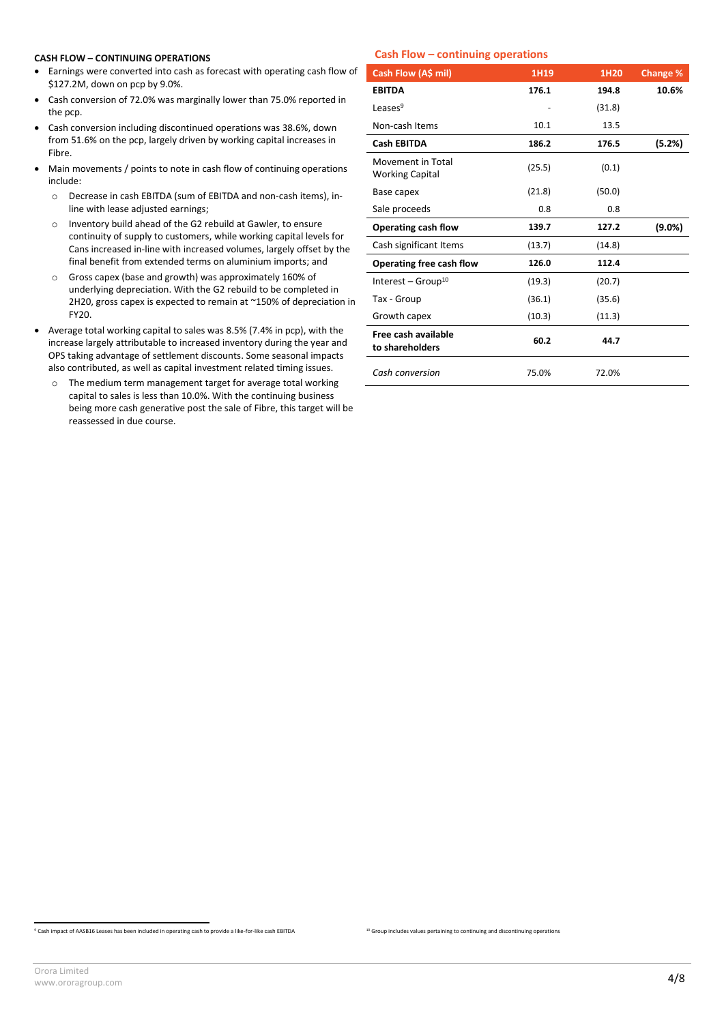#### **CASH FLOW – CONTINUING OPERATIONS**

- Earnings were converted into cash as forecast with operating cash flow of \$127.2M, down on pcp by 9.0%.
- Cash conversion of 72.0% was marginally lower than 75.0% reported in the pcp.
- Cash conversion including discontinued operations was 38.6%, down from 51.6% on the pcp, largely driven by working capital increases in Fibre.
- Main movements / points to note in cash flow of continuing operations include:
	- o Decrease in cash EBITDA (sum of EBITDA and non-cash items), inline with lease adjusted earnings;
	- o Inventory build ahead of the G2 rebuild at Gawler, to ensure continuity of supply to customers, while working capital levels for Cans increased in-line with increased volumes, largely offset by the final benefit from extended terms on aluminium imports; and
	- o Gross capex (base and growth) was approximately 160% of underlying depreciation. With the G2 rebuild to be completed in 2H20, gross capex is expected to remain at ~150% of depreciation in FY20.
- Average total working capital to sales was 8.5% (7.4% in pcp), with the increase largely attributable to increased inventory during the year and OPS taking advantage of settlement discounts. Some seasonal impacts also contributed, as well as capital investment related timing issues.
	- o The medium term management target for average total working capital to sales is less than 10.0%. With the continuing business being more cash generative post the sale of Fibre, this target will be reassessed in due course.

#### **Cash Flow – continuing operations**

| Cash Flow (A\$ mil)                         | 1H19   | 1H20   | Change %  |
|---------------------------------------------|--------|--------|-----------|
| <b>EBITDA</b>                               | 176.1  | 194.8  | 10.6%     |
| Leases $9$                                  |        | (31.8) |           |
| Non-cash Items                              | 10.1   | 13.5   |           |
| <b>Cash EBITDA</b>                          | 186.2  | 176.5  | (5.2%)    |
| Movement in Total<br><b>Working Capital</b> | (25.5) | (0.1)  |           |
| Base capex                                  | (21.8) | (50.0) |           |
| Sale proceeds                               | 0.8    | 0.8    |           |
| Operating cash flow                         | 139.7  | 127.2  | $(9.0\%)$ |
| Cash significant Items                      | (13.7) | (14.8) |           |
| Operating free cash flow                    | 126.0  | 112.4  |           |
| Interest – Group <sup>10</sup>              | (19.3) | (20.7) |           |
| Tax - Group                                 | (36.1) | (35.6) |           |
| Growth capex                                | (10.3) | (11.3) |           |
| Free cash available<br>to shareholders      | 60.2   | 44.7   |           |
| Cash conversion                             | 75.0%  | 72.0%  |           |

<sup>&</sup>lt;sup>10</sup> Group includes values pertaining to continuing and discontinuing operations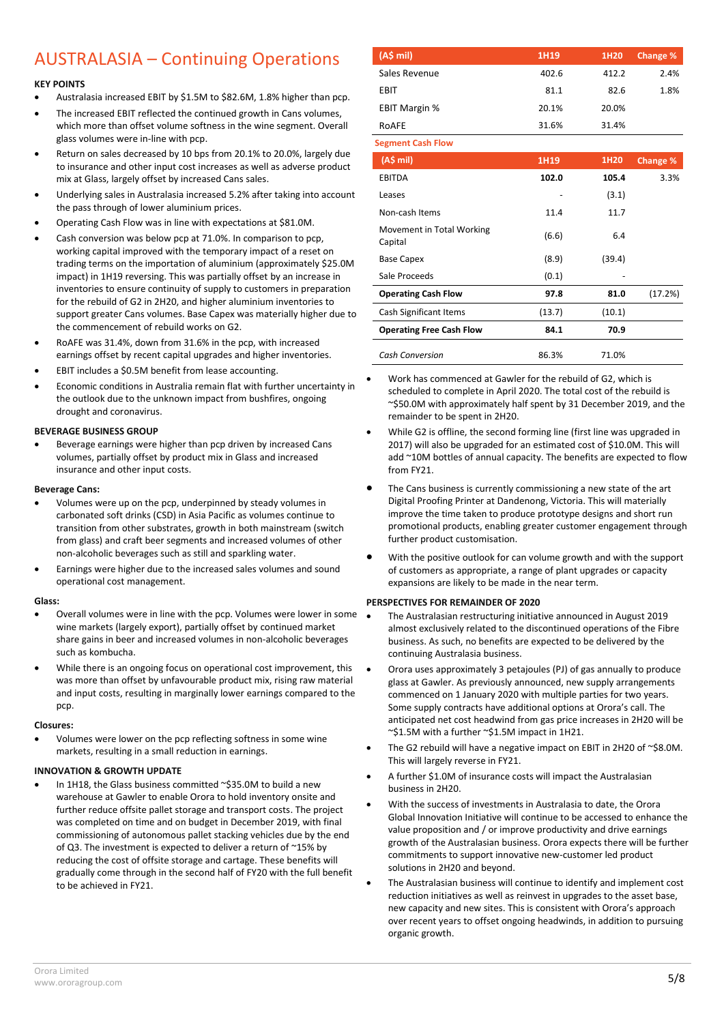## AUSTRALASIA – Continuing Operations

#### **KEY POINTS**

- Australasia increased EBIT by \$1.5M to \$82.6M, 1.8% higher than pcp.
- The increased EBIT reflected the continued growth in Cans volumes, which more than offset volume softness in the wine segment. Overall glass volumes were in-line with pcp.
- Return on sales decreased by 10 bps from 20.1% to 20.0%, largely due to insurance and other input cost increases as well as adverse product mix at Glass, largely offset by increased Cans sales.
- Underlying sales in Australasia increased 5.2% after taking into account the pass through of lower aluminium prices.
- Operating Cash Flow was in line with expectations at \$81.0M.
- Cash conversion was below pcp at 71.0%. In comparison to pcp, working capital improved with the temporary impact of a reset on trading terms on the importation of aluminium (approximately \$25.0M impact) in 1H19 reversing. This was partially offset by an increase in inventories to ensure continuity of supply to customers in preparation for the rebuild of G2 in 2H20, and higher aluminium inventories to support greater Cans volumes. Base Capex was materially higher due to the commencement of rebuild works on G2.
- RoAFE was 31.4%, down from 31.6% in the pcp, with increased earnings offset by recent capital upgrades and higher inventories.
- EBIT includes a \$0.5M benefit from lease accounting.
- Economic conditions in Australia remain flat with further uncertainty in the outlook due to the unknown impact from bushfires, ongoing drought and coronavirus.

#### **BEVERAGE BUSINESS GROUP**

 Beverage earnings were higher than pcp driven by increased Cans volumes, partially offset by product mix in Glass and increased insurance and other input costs.

#### **Beverage Cans:**

- Volumes were up on the pcp, underpinned by steady volumes in carbonated soft drinks (CSD) in Asia Pacific as volumes continue to transition from other substrates, growth in both mainstream (switch from glass) and craft beer segments and increased volumes of other non-alcoholic beverages such as still and sparkling water.
- Earnings were higher due to the increased sales volumes and sound operational cost management.

#### **Glass:**

- Overall volumes were in line with the pcp. Volumes were lower in some wine markets (largely export), partially offset by continued market share gains in beer and increased volumes in non-alcoholic beverages such as kombucha.
- While there is an ongoing focus on operational cost improvement, this was more than offset by unfavourable product mix, rising raw material and input costs, resulting in marginally lower earnings compared to the pcp.

#### **Closures:**

 Volumes were lower on the pcp reflecting softness in some wine markets, resulting in a small reduction in earnings.

#### **INNOVATION & GROWTH UPDATE**

In 1H18, the Glass business committed ~\$35.0M to build a new warehouse at Gawler to enable Orora to hold inventory onsite and further reduce offsite pallet storage and transport costs. The project was completed on time and on budget in December 2019, with final commissioning of autonomous pallet stacking vehicles due by the end of Q3. The investment is expected to deliver a return of ~15% by reducing the cost of offsite storage and cartage. These benefits will gradually come through in the second half of FY20 with the full benefit to be achieved in FY21.

| (A\$ mi)             | 1H19  | 1H <sub>20</sub> | Change % |
|----------------------|-------|------------------|----------|
| Sales Revenue        | 402.6 | 412.2            | 2.4%     |
| EBIT                 | 81.1  | 82.6             | 1.8%     |
| <b>EBIT Margin %</b> | 20.1% | 20.0%            |          |
| ROAFE                | 31.6% | 31.4%            |          |

**Segment Cash Flow**

| Segment Cash Flow                    |        |        |          |
|--------------------------------------|--------|--------|----------|
| (AS mil)                             | 1H19   | 1H20   | Change % |
| <b>EBITDA</b>                        | 102.0  | 105.4  | 3.3%     |
| Leases                               |        | (3.1)  |          |
| Non-cash Items                       | 11.4   | 11.7   |          |
| Movement in Total Working<br>Capital | (6.6)  | 6.4    |          |
| <b>Base Capex</b>                    | (8.9)  | (39.4) |          |
| Sale Proceeds                        | (0.1)  |        |          |
| <b>Operating Cash Flow</b>           | 97.8   | 81.0   | (17.2%)  |
| Cash Significant Items               | (13.7) | (10.1) |          |
| <b>Operating Free Cash Flow</b>      | 84.1   | 70.9   |          |
| <b>Cash Conversion</b>               | 86.3%  | 71.0%  |          |

 Work has commenced at Gawler for the rebuild of G2, which is scheduled to complete in April 2020. The total cost of the rebuild is ~\$50.0M with approximately half spent by 31 December 2019, and the remainder to be spent in 2H20.

- While G2 is offline, the second forming line (first line was upgraded in 2017) will also be upgraded for an estimated cost of \$10.0M. This will add ~10M bottles of annual capacity. The benefits are expected to flow from FY21.
- The Cans business is currently commissioning a new state of the art Digital Proofing Printer at Dandenong, Victoria. This will materially improve the time taken to produce prototype designs and short run promotional products, enabling greater customer engagement through further product customisation.
- With the positive outlook for can volume growth and with the support of customers as appropriate, a range of plant upgrades or capacity expansions are likely to be made in the near term.

#### **PERSPECTIVES FOR REMAINDER OF 2020**

- The Australasian restructuring initiative announced in August 2019 almost exclusively related to the discontinued operations of the Fibre business. As such, no benefits are expected to be delivered by the continuing Australasia business.
- Orora uses approximately 3 petajoules (PJ) of gas annually to produce glass at Gawler. As previously announced, new supply arrangements commenced on 1 January 2020 with multiple parties for two years. Some supply contracts have additional options at Orora's call. The anticipated net cost headwind from gas price increases in 2H20 will be ~\$1.5M with a further ~\$1.5M impact in 1H21.
- The G2 rebuild will have a negative impact on EBIT in 2H20 of ~\$8.0M. This will largely reverse in FY21.
- A further \$1.0M of insurance costs will impact the Australasian business in 2H20.
- With the success of investments in Australasia to date, the Orora Global Innovation Initiative will continue to be accessed to enhance the value proposition and / or improve productivity and drive earnings growth of the Australasian business. Orora expects there will be further commitments to support innovative new-customer led product solutions in 2H20 and beyond.
- The Australasian business will continue to identify and implement cost reduction initiatives as well as reinvest in upgrades to the asset base, new capacity and new sites. This is consistent with Orora's approach over recent years to offset ongoing headwinds, in addition to pursuing organic growth.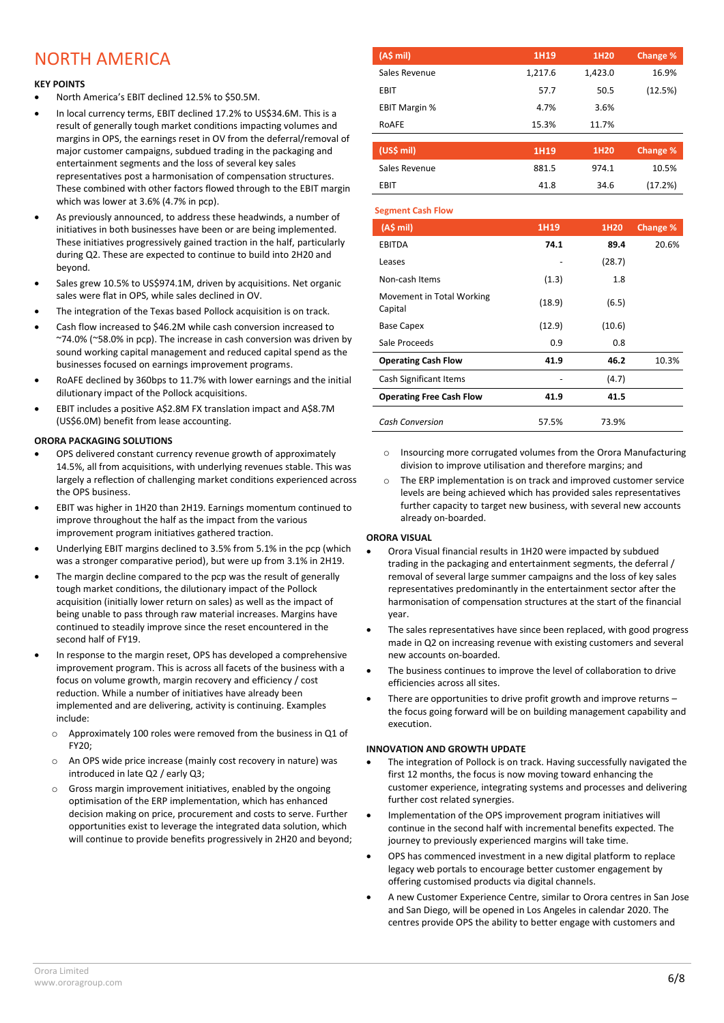### NORTH AMERICA

#### **KEY POINTS**

- North America's EBIT declined 12.5% to \$50.5M.
- In local currency terms, EBIT declined 17.2% to US\$34.6M. This is a result of generally tough market conditions impacting volumes and margins in OPS, the earnings reset in OV from the deferral/removal of major customer campaigns, subdued trading in the packaging and entertainment segments and the loss of several key sales representatives post a harmonisation of compensation structures. These combined with other factors flowed through to the EBIT margin which was lower at 3.6% (4.7% in pcp).
- As previously announced, to address these headwinds, a number of initiatives in both businesses have been or are being implemented. These initiatives progressively gained traction in the half, particularly during Q2. These are expected to continue to build into 2H20 and beyond.
- Sales grew 10.5% to US\$974.1M, driven by acquisitions. Net organic sales were flat in OPS, while sales declined in OV.
- The integration of the Texas based Pollock acquisition is on track.
- Cash flow increased to \$46.2M while cash conversion increased to ~74.0% (~58.0% in pcp). The increase in cash conversion was driven by sound working capital management and reduced capital spend as the businesses focused on earnings improvement programs.
- RoAFE declined by 360bps to 11.7% with lower earnings and the initial dilutionary impact of the Pollock acquisitions.
- EBIT includes a positive A\$2.8M FX translation impact and A\$8.7M (US\$6.0M) benefit from lease accounting.

#### **ORORA PACKAGING SOLUTIONS**

- OPS delivered constant currency revenue growth of approximately 14.5%, all from acquisitions, with underlying revenues stable. This was largely a reflection of challenging market conditions experienced across the OPS business.
- EBIT was higher in 1H20 than 2H19. Earnings momentum continued to improve throughout the half as the impact from the various improvement program initiatives gathered traction.
- Underlying EBIT margins declined to 3.5% from 5.1% in the pcp (which was a stronger comparative period), but were up from 3.1% in 2H19.
- The margin decline compared to the pcp was the result of generally tough market conditions, the dilutionary impact of the Pollock acquisition (initially lower return on sales) as well as the impact of being unable to pass through raw material increases. Margins have continued to steadily improve since the reset encountered in the second half of FY19.
- In response to the margin reset, OPS has developed a comprehensive improvement program. This is across all facets of the business with a focus on volume growth, margin recovery and efficiency / cost reduction. While a number of initiatives have already been implemented and are delivering, activity is continuing. Examples include:
	- o Approximately 100 roles were removed from the business in Q1 of FY20;
	- o An OPS wide price increase (mainly cost recovery in nature) was introduced in late Q2 / early Q3;
	- $\circ$  Gross margin improvement initiatives, enabled by the ongoing optimisation of the ERP implementation, which has enhanced decision making on price, procurement and costs to serve. Further opportunities exist to leverage the integrated data solution, which will continue to provide benefits progressively in 2H20 and beyond;

| (A\$ mi)             | 1H19    | 1H <sub>20</sub> | Change % |
|----------------------|---------|------------------|----------|
| Sales Revenue        | 1,217.6 | 1,423.0          | 16.9%    |
| <b>EBIT</b>          | 57.7    | 50.5             | (12.5%)  |
| <b>EBIT Margin %</b> | 4.7%    | 3.6%             |          |
| ROAFE                | 15.3%   | 11.7%            |          |

| (US\$ mil)    | 1H <sub>19</sub> | 1H <sub>20</sub> | <b>Change %</b> |
|---------------|------------------|------------------|-----------------|
| Sales Revenue | 881.5            | 974.1            | 10.5%           |
| <b>FRIT</b>   | 41.8             | 34.6             | (17.2%)         |

#### **Segment Cash Flow**

| (A\$ mi)                             | 1H19   | 1H20   | Change % |
|--------------------------------------|--------|--------|----------|
| <b>EBITDA</b>                        | 74.1   | 89.4   | 20.6%    |
| Leases                               |        | (28.7) |          |
| Non-cash Items                       | (1.3)  | 1.8    |          |
| Movement in Total Working<br>Capital | (18.9) | (6.5)  |          |
| <b>Base Capex</b>                    | (12.9) | (10.6) |          |
| Sale Proceeds                        | 0.9    | 0.8    |          |
| <b>Operating Cash Flow</b>           | 41.9   | 46.2   | 10.3%    |
| Cash Significant Items               |        | (4.7)  |          |
| <b>Operating Free Cash Flow</b>      | 41.9   | 41.5   |          |
| <b>Cash Conversion</b>               | 57.5%  | 73.9%  |          |

- o Insourcing more corrugated volumes from the Orora Manufacturing division to improve utilisation and therefore margins; and
- The ERP implementation is on track and improved customer service levels are being achieved which has provided sales representatives further capacity to target new business, with several new accounts already on-boarded.

#### **ORORA VISUAL**

- Orora Visual financial results in 1H20 were impacted by subdued trading in the packaging and entertainment segments, the deferral / removal of several large summer campaigns and the loss of key sales representatives predominantly in the entertainment sector after the harmonisation of compensation structures at the start of the financial year.
- The sales representatives have since been replaced, with good progress made in Q2 on increasing revenue with existing customers and several new accounts on-boarded.
- The business continues to improve the level of collaboration to drive efficiencies across all sites.
- There are opportunities to drive profit growth and improve returns the focus going forward will be on building management capability and execution.

#### **INNOVATION AND GROWTH UPDATE**

- The integration of Pollock is on track. Having successfully navigated the first 12 months, the focus is now moving toward enhancing the customer experience, integrating systems and processes and delivering further cost related synergies.
- Implementation of the OPS improvement program initiatives will continue in the second half with incremental benefits expected. The journey to previously experienced margins will take time.
- OPS has commenced investment in a new digital platform to replace legacy web portals to encourage better customer engagement by offering customised products via digital channels.
- A new Customer Experience Centre, similar to Orora centres in San Jose and San Diego, will be opened in Los Angeles in calendar 2020. The centres provide OPS the ability to better engage with customers and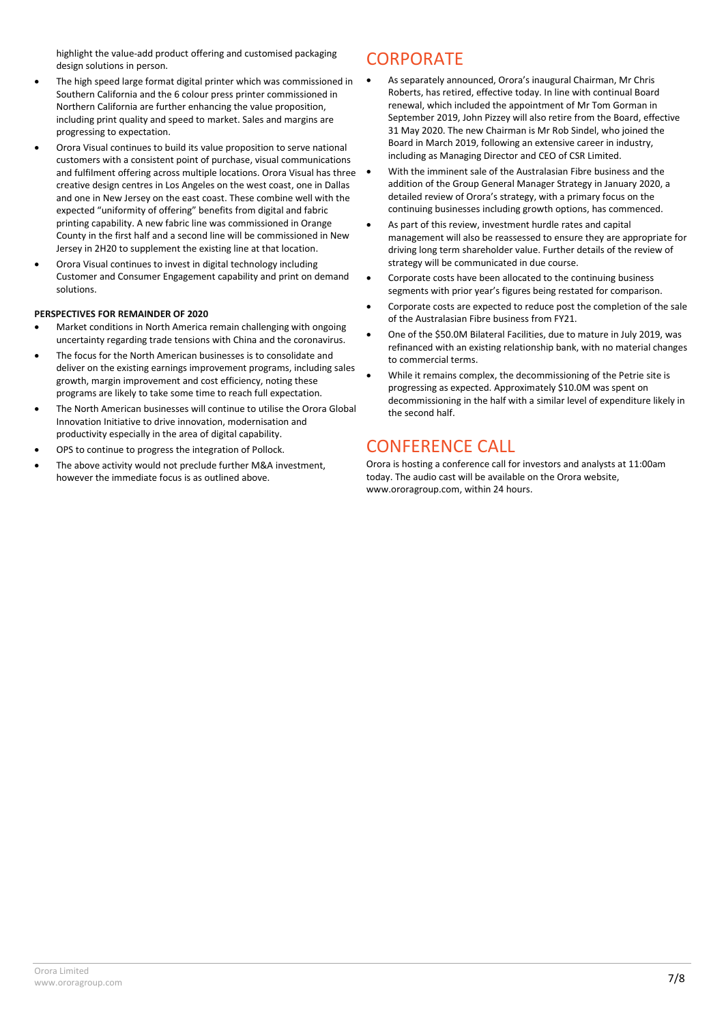highlight the value-add product offering and customised packaging design solutions in person.

- The high speed large format digital printer which was commissioned in Southern California and the 6 colour press printer commissioned in Northern California are further enhancing the value proposition, including print quality and speed to market. Sales and margins are progressing to expectation.
- Orora Visual continues to build its value proposition to serve national customers with a consistent point of purchase, visual communications and fulfilment offering across multiple locations. Orora Visual has three creative design centres in Los Angeles on the west coast, one in Dallas and one in New Jersey on the east coast. These combine well with the expected "uniformity of offering" benefits from digital and fabric printing capability. A new fabric line was commissioned in Orange County in the first half and a second line will be commissioned in New Jersey in 2H20 to supplement the existing line at that location.
- Orora Visual continues to invest in digital technology including Customer and Consumer Engagement capability and print on demand solutions.

#### **PERSPECTIVES FOR REMAINDER OF 2020**

- Market conditions in North America remain challenging with ongoing uncertainty regarding trade tensions with China and the coronavirus.
- The focus for the North American businesses is to consolidate and deliver on the existing earnings improvement programs, including sales growth, margin improvement and cost efficiency, noting these programs are likely to take some time to reach full expectation.
- The North American businesses will continue to utilise the Orora Global Innovation Initiative to drive innovation, modernisation and productivity especially in the area of digital capability.
- OPS to continue to progress the integration of Pollock.
- The above activity would not preclude further M&A investment, however the immediate focus is as outlined above.

### **CORPORATE**

- As separately announced, Orora's inaugural Chairman, Mr Chris Roberts, has retired, effective today. In line with continual Board renewal, which included the appointment of Mr Tom Gorman in September 2019, John Pizzey will also retire from the Board, effective 31 May 2020. The new Chairman is Mr Rob Sindel, who joined the Board in March 2019, following an extensive career in industry, including as Managing Director and CEO of CSR Limited.
- With the imminent sale of the Australasian Fibre business and the addition of the Group General Manager Strategy in January 2020, a detailed review of Orora's strategy, with a primary focus on the continuing businesses including growth options, has commenced.
- As part of this review, investment hurdle rates and capital management will also be reassessed to ensure they are appropriate for driving long term shareholder value. Further details of the review of strategy will be communicated in due course.
- Corporate costs have been allocated to the continuing business segments with prior year's figures being restated for comparison.
- Corporate costs are expected to reduce post the completion of the sale of the Australasian Fibre business from FY21.
- One of the \$50.0M Bilateral Facilities, due to mature in July 2019, was refinanced with an existing relationship bank, with no material changes to commercial terms.
- While it remains complex, the decommissioning of the Petrie site is progressing as expected. Approximately \$10.0M was spent on decommissioning in the half with a similar level of expenditure likely in the second half.

### CONFERENCE CALL

Orora is hosting a conference call for investors and analysts at 11:00am today. The audio cast will be available on the Orora website, [www.ororagroup.com,](http://www.ororagroup.com/) within 24 hours.